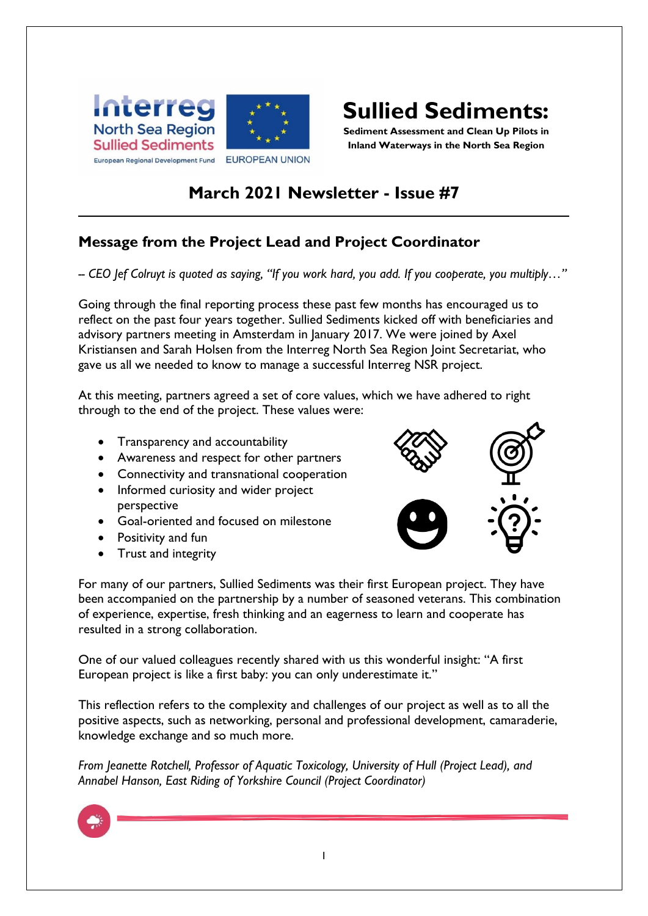



**Sediment Assessment and Clean Up Pilots in Inland Waterways in the North Sea Region**

# **March 2021 Newsletter - Issue #7**

## **Message from the Project Lead and Project Coordinator**

*-- CEO Jef Colruyt is quoted as saying, "If you work hard, you add. If you cooperate, you multiply…"*

Going through the final reporting process these past few months has encouraged us to reflect on the past four years together. Sullied Sediments kicked off with beneficiaries and advisory partners meeting in Amsterdam in January 2017. We were joined by Axel Kristiansen and Sarah Holsen from the Interreg North Sea Region Joint Secretariat, who gave us all we needed to know to manage a successful Interreg NSR project.

At this meeting, partners agreed a set of core values, which we have adhered to right through to the end of the project. These values were:

- Transparency and accountability
- Awareness and respect for other partners
- Connectivity and transnational cooperation
- Informed curiosity and wider project perspective
- Goal-oriented and focused on milestone
- Positivity and fun
- Trust and integrity



For many of our partners, Sullied Sediments was their first European project. They have been accompanied on the partnership by a number of seasoned veterans. This combination of experience, expertise, fresh thinking and an eagerness to learn and cooperate has resulted in a strong collaboration.

One of our valued colleagues recently shared with us this wonderful insight: "A first European project is like a first baby: you can only underestimate it."

This reflection refers to the complexity and challenges of our project as well as to all the positive aspects, such as networking, personal and professional development, camaraderie, knowledge exchange and so much more.

*From Jeanette Rotchell, Professor of Aquatic Toxicology, University of Hull (Project Lead), and Annabel Hanson, East Riding of Yorkshire Council (Project Coordinator)*

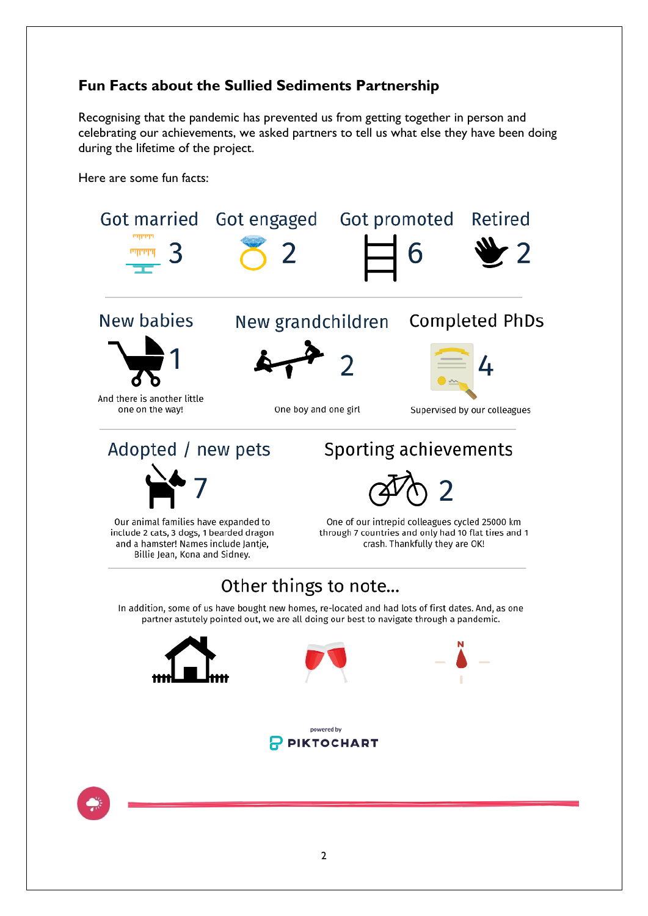## **Fun Facts about the Sullied Sediments Partnership**

Recognising that the pandemic has prevented us from getting together in person and celebrating our achievements, we asked partners to tell us what else they have been doing during the lifetime of the project.

Here are some fun facts:

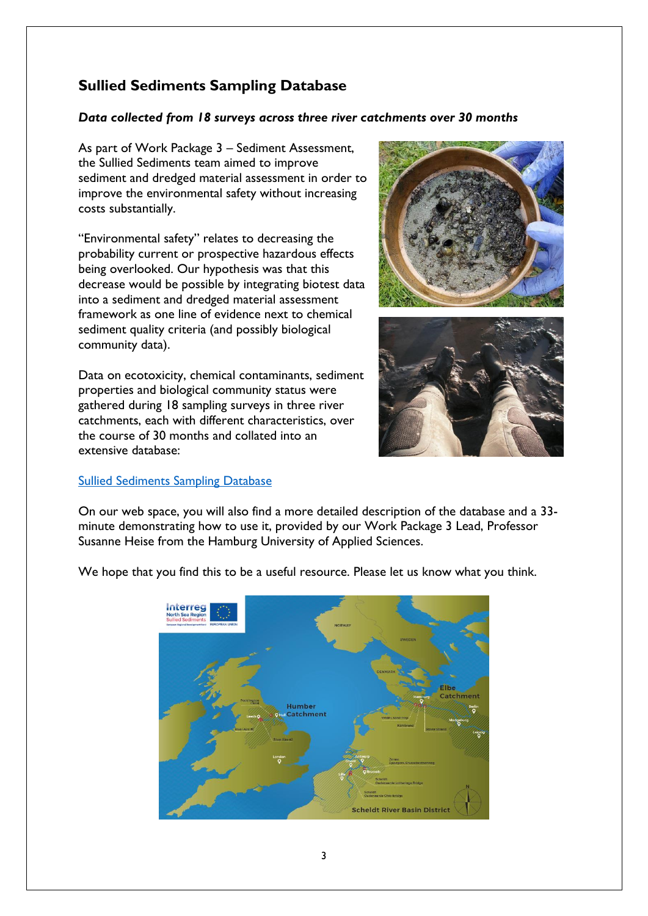# **Sullied Sediments Sampling Database**

### *Data collected from 18 surveys across three river catchments over 30 months*

As part of Work Package 3 – Sediment Assessment, the Sullied Sediments team aimed to improve sediment and dredged material assessment in order to improve the environmental safety without increasing costs substantially.

"Environmental safety" relates to decreasing the probability current or prospective hazardous effects being overlooked. Our hypothesis was that this decrease would be possible by integrating biotest data into a sediment and dredged material assessment framework as one line of evidence next to chemical sediment quality criteria (and possibly biological community data).

Data on ecotoxicity, chemical contaminants, sediment properties and biological community status were gathered during 18 sampling surveys in three river catchments, each with different characteristics, over the course of 30 months and collated into an extensive database:



#### [Sullied Sediments Sampling Database](https://northsearegion.eu/sullied-sediments/sampling-database/)

On our web space, you will also find a more detailed description of the database and a 33 minute demonstrating how to use it, provided by our Work Package 3 Lead, Professor Susanne Heise from the Hamburg University of Applied Sciences.



We hope that you find this to be a useful resource. Please let us know what you think.